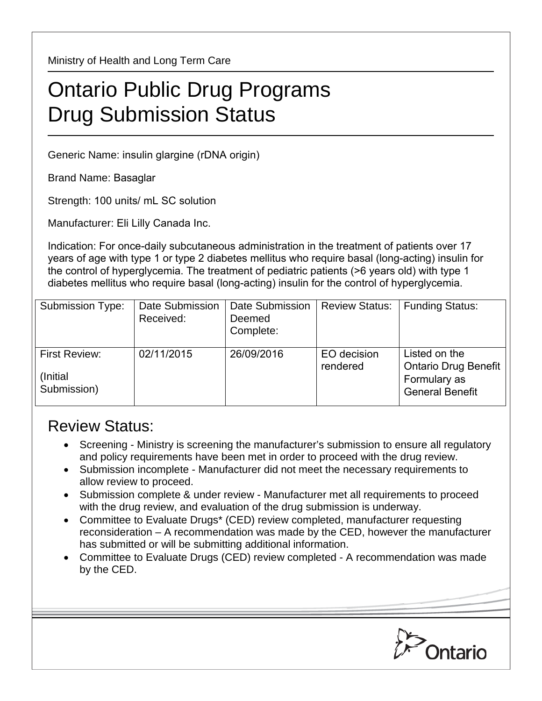Ministry of Health and Long Term Care

## Ontario Public Drug Programs Drug Submission Status

Generic Name: insulin glargine (rDNA origin)

Brand Name: Basaglar

Strength: 100 units/ mL SC solution

Manufacturer: Eli Lilly Canada Inc.

Indication: For once-daily subcutaneous administration in the treatment of patients over 17 years of age with type 1 or type 2 diabetes mellitus who require basal (long-acting) insulin for the control of hyperglycemia. The treatment of pediatric patients (>6 years old) with type 1 diabetes mellitus who require basal (long-acting) insulin for the control of hyperglycemia.

| <b>Submission Type:</b>                          | Date Submission<br>Received: | Date Submission<br>Deemed<br>Complete: | <b>Review Status:</b>   | <b>Funding Status:</b>                                                                 |
|--------------------------------------------------|------------------------------|----------------------------------------|-------------------------|----------------------------------------------------------------------------------------|
| <b>First Review:</b><br>(Initial)<br>Submission) | 02/11/2015                   | 26/09/2016                             | EO decision<br>rendered | Listed on the<br><b>Ontario Drug Benefit</b><br>Formulary as<br><b>General Benefit</b> |

## Review Status:

- Screening Ministry is screening the manufacturer's submission to ensure all regulatory and policy requirements have been met in order to proceed with the drug review.
- Submission incomplete Manufacturer did not meet the necessary requirements to allow review to proceed.
- Submission complete & under review Manufacturer met all requirements to proceed with the drug review, and evaluation of the drug submission is underway.
- Committee to Evaluate Drugs\* (CED) review completed, manufacturer requesting reconsideration – A recommendation was made by the CED, however the manufacturer has submitted or will be submitting additional information.
- Committee to Evaluate Drugs (CED) review completed A recommendation was made by the CED.